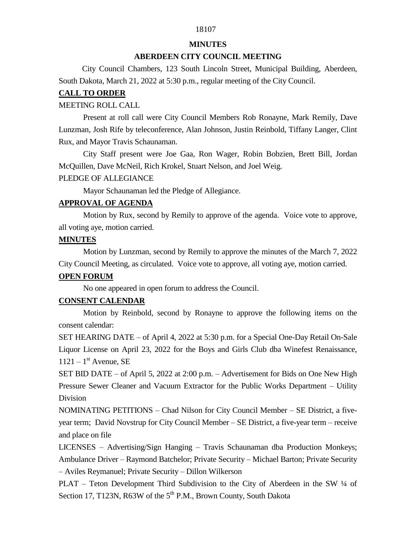# 18107

#### **MINUTES**

## **ABERDEEN CITY COUNCIL MEETING**

 City Council Chambers, 123 South Lincoln Street, Municipal Building, Aberdeen, South Dakota, March 21, 2022 at 5:30 p.m., regular meeting of the City Council.

## **CALL TO ORDER**

### MEETING ROLL CALL

Present at roll call were City Council Members Rob Ronayne, Mark Remily, Dave Lunzman, Josh Rife by teleconference, Alan Johnson, Justin Reinbold, Tiffany Langer, Clint Rux, and Mayor Travis Schaunaman.

City Staff present were Joe Gaa, Ron Wager, Robin Bobzien, Brett Bill, Jordan McQuillen, Dave McNeil, Rich Krokel, Stuart Nelson, and Joel Weig.

#### PLEDGE OF ALLEGIANCE

Mayor Schaunaman led the Pledge of Allegiance.

# **APPROVAL OF AGENDA**

Motion by Rux, second by Remily to approve of the agenda. Voice vote to approve, all voting aye, motion carried.

## **MINUTES**

Motion by Lunzman, second by Remily to approve the minutes of the March 7, 2022 City Council Meeting, as circulated. Voice vote to approve, all voting aye, motion carried.

# **OPEN FORUM**

No one appeared in open forum to address the Council.

# **CONSENT CALENDAR**

Motion by Reinbold, second by Ronayne to approve the following items on the consent calendar:

SET HEARING DATE – of April 4, 2022 at 5:30 p.m. for a Special One-Day Retail On-Sale Liquor License on April 23, 2022 for the Boys and Girls Club dba Winefest Renaissance,  $1121 - 1$ <sup>st</sup> Avenue, SE

SET BID DATE – of April 5, 2022 at 2:00 p.m. – Advertisement for Bids on One New High Pressure Sewer Cleaner and Vacuum Extractor for the Public Works Department – Utility Division

NOMINATING PETITIONS – Chad Nilson for City Council Member – SE District, a fiveyear term; David Novstrup for City Council Member – SE District, a five-year term – receive and place on file

LICENSES – Advertising/Sign Hanging – Travis Schaunaman dba Production Monkeys; Ambulance Driver – Raymond Batchelor; Private Security – Michael Barton; Private Security – Aviles Reymanuel; Private Security – Dillon Wilkerson

PLAT – Teton Development Third Subdivision to the City of Aberdeen in the SW 1/4 of Section 17, T123N, R63W of the  $5<sup>th</sup>$  P.M., Brown County, South Dakota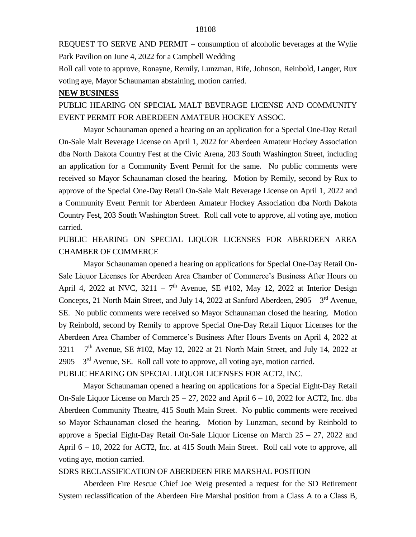REQUEST TO SERVE AND PERMIT – consumption of alcoholic beverages at the Wylie Park Pavilion on June 4, 2022 for a Campbell Wedding

Roll call vote to approve, Ronayne, Remily, Lunzman, Rife, Johnson, Reinbold, Langer, Rux voting aye, Mayor Schaunaman abstaining, motion carried.

## **NEW BUSINESS**

PUBLIC HEARING ON SPECIAL MALT BEVERAGE LICENSE AND COMMUNITY EVENT PERMIT FOR ABERDEEN AMATEUR HOCKEY ASSOC.

Mayor Schaunaman opened a hearing on an application for a Special One-Day Retail On-Sale Malt Beverage License on April 1, 2022 for Aberdeen Amateur Hockey Association dba North Dakota Country Fest at the Civic Arena, 203 South Washington Street, including an application for a Community Event Permit for the same. No public comments were received so Mayor Schaunaman closed the hearing. Motion by Remily, second by Rux to approve of the Special One-Day Retail On-Sale Malt Beverage License on April 1, 2022 and a Community Event Permit for Aberdeen Amateur Hockey Association dba North Dakota Country Fest, 203 South Washington Street. Roll call vote to approve, all voting aye, motion carried.

PUBLIC HEARING ON SPECIAL LIQUOR LICENSES FOR ABERDEEN AREA CHAMBER OF COMMERCE

Mayor Schaunaman opened a hearing on applications for Special One-Day Retail On-Sale Liquor Licenses for Aberdeen Area Chamber of Commerce's Business After Hours on April 4, 2022 at NVC,  $3211 - 7<sup>th</sup>$  Avenue, SE #102, May 12, 2022 at Interior Design Concepts, 21 North Main Street, and July 14, 2022 at Sanford Aberdeen,  $2905 - 3<sup>rd</sup>$  Avenue, SE. No public comments were received so Mayor Schaunaman closed the hearing. Motion by Reinbold, second by Remily to approve Special One-Day Retail Liquor Licenses for the Aberdeen Area Chamber of Commerce's Business After Hours Events on April 4, 2022 at  $3211 - 7<sup>th</sup>$  Avenue, SE #102, May 12, 2022 at 21 North Main Street, and July 14, 2022 at  $2905 - 3<sup>rd</sup>$  Avenue, SE. Roll call vote to approve, all voting aye, motion carried. PUBLIC HEARING ON SPECIAL LIQUOR LICENSES FOR ACT2, INC.

Mayor Schaunaman opened a hearing on applications for a Special Eight-Day Retail On-Sale Liquor License on March  $25 - 27$ , 2022 and April  $6 - 10$ , 2022 for ACT2, Inc. dba Aberdeen Community Theatre, 415 South Main Street. No public comments were received so Mayor Schaunaman closed the hearing. Motion by Lunzman, second by Reinbold to approve a Special Eight-Day Retail On-Sale Liquor License on March 25 – 27, 2022 and April 6 – 10, 2022 for ACT2, Inc. at 415 South Main Street. Roll call vote to approve, all voting aye, motion carried.

#### SDRS RECLASSIFICATION OF ABERDEEN FIRE MARSHAL POSITION

Aberdeen Fire Rescue Chief Joe Weig presented a request for the SD Retirement System reclassification of the Aberdeen Fire Marshal position from a Class A to a Class B,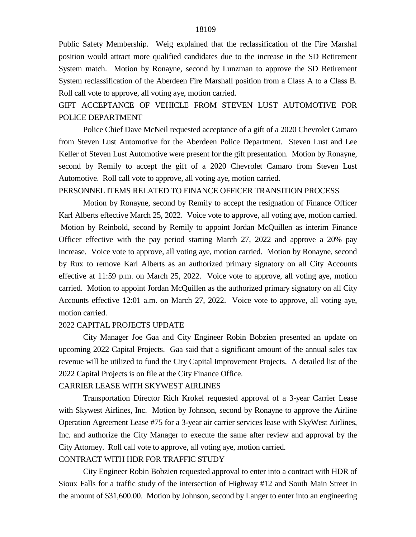Public Safety Membership. Weig explained that the reclassification of the Fire Marshal position would attract more qualified candidates due to the increase in the SD Retirement System match. Motion by Ronayne, second by Lunzman to approve the SD Retirement System reclassification of the Aberdeen Fire Marshall position from a Class A to a Class B. Roll call vote to approve, all voting aye, motion carried.

# GIFT ACCEPTANCE OF VEHICLE FROM STEVEN LUST AUTOMOTIVE FOR POLICE DEPARTMENT

Police Chief Dave McNeil requested acceptance of a gift of a 2020 Chevrolet Camaro from Steven Lust Automotive for the Aberdeen Police Department. Steven Lust and Lee Keller of Steven Lust Automotive were present for the gift presentation. Motion by Ronayne, second by Remily to accept the gift of a 2020 Chevrolet Camaro from Steven Lust Automotive. Roll call vote to approve, all voting aye, motion carried.

## PERSONNEL ITEMS RELATED TO FINANCE OFFICER TRANSITION PROCESS

Motion by Ronayne, second by Remily to accept the resignation of Finance Officer Karl Alberts effective March 25, 2022. Voice vote to approve, all voting aye, motion carried. Motion by Reinbold, second by Remily to appoint Jordan McQuillen as interim Finance Officer effective with the pay period starting March 27, 2022 and approve a 20% pay increase. Voice vote to approve, all voting aye, motion carried. Motion by Ronayne, second by Rux to remove Karl Alberts as an authorized primary signatory on all City Accounts effective at 11:59 p.m. on March 25, 2022. Voice vote to approve, all voting aye, motion carried. Motion to appoint Jordan McQuillen as the authorized primary signatory on all City Accounts effective 12:01 a.m. on March 27, 2022. Voice vote to approve, all voting aye, motion carried.

#### 2022 CAPITAL PROJECTS UPDATE

City Manager Joe Gaa and City Engineer Robin Bobzien presented an update on upcoming 2022 Capital Projects. Gaa said that a significant amount of the annual sales tax revenue will be utilized to fund the City Capital Improvement Projects. A detailed list of the 2022 Capital Projects is on file at the City Finance Office.

## CARRIER LEASE WITH SKYWEST AIRLINES

Transportation Director Rich Krokel requested approval of a 3-year Carrier Lease with Skywest Airlines, Inc. Motion by Johnson, second by Ronayne to approve the Airline Operation Agreement Lease #75 for a 3-year air carrier services lease with SkyWest Airlines, Inc. and authorize the City Manager to execute the same after review and approval by the City Attorney. Roll call vote to approve, all voting aye, motion carried.

# CONTRACT WITH HDR FOR TRAFFIC STUDY

City Engineer Robin Bobzien requested approval to enter into a contract with HDR of Sioux Falls for a traffic study of the intersection of Highway #12 and South Main Street in the amount of \$31,600.00. Motion by Johnson, second by Langer to enter into an engineering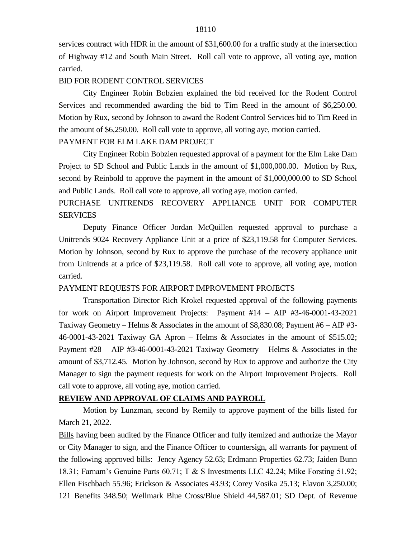#### 18110

services contract with HDR in the amount of \$31,600.00 for a traffic study at the intersection of Highway #12 and South Main Street. Roll call vote to approve, all voting aye, motion carried.

### BID FOR RODENT CONTROL SERVICES

City Engineer Robin Bobzien explained the bid received for the Rodent Control Services and recommended awarding the bid to Tim Reed in the amount of \$6,250.00. Motion by Rux, second by Johnson to award the Rodent Control Services bid to Tim Reed in the amount of \$6,250.00. Roll call vote to approve, all voting aye, motion carried.

# PAYMENT FOR ELM LAKE DAM PROJECT

City Engineer Robin Bobzien requested approval of a payment for the Elm Lake Dam Project to SD School and Public Lands in the amount of \$1,000,000.00. Motion by Rux, second by Reinbold to approve the payment in the amount of \$1,000,000.00 to SD School and Public Lands. Roll call vote to approve, all voting aye, motion carried.

# PURCHASE UNITRENDS RECOVERY APPLIANCE UNIT FOR COMPUTER SERVICES

Deputy Finance Officer Jordan McQuillen requested approval to purchase a Unitrends 9024 Recovery Appliance Unit at a price of \$23,119.58 for Computer Services. Motion by Johnson, second by Rux to approve the purchase of the recovery appliance unit from Unitrends at a price of \$23,119.58. Roll call vote to approve, all voting aye, motion carried.

## PAYMENT REQUESTS FOR AIRPORT IMPROVEMENT PROJECTS

Transportation Director Rich Krokel requested approval of the following payments for work on Airport Improvement Projects: Payment #14 – AIP #3-46-0001-43-2021 Taxiway Geometry – Helms & Associates in the amount of \$8,830.08; Payment #6 – AIP #3- 46-0001-43-2021 Taxiway GA Apron – Helms & Associates in the amount of \$515.02; Payment #28 – AIP #3-46-0001-43-2021 Taxiway Geometry – Helms & Associates in the amount of \$3,712.45. Motion by Johnson, second by Rux to approve and authorize the City Manager to sign the payment requests for work on the Airport Improvement Projects. Roll call vote to approve, all voting aye, motion carried.

### **REVIEW AND APPROVAL OF CLAIMS AND PAYROLL**

Motion by Lunzman, second by Remily to approve payment of the bills listed for March 21, 2022.

Bills having been audited by the Finance Officer and fully itemized and authorize the Mayor or City Manager to sign, and the Finance Officer to countersign, all warrants for payment of the following approved bills: Jency Agency 52.63; Erdmann Properties 62.73; Jaiden Bunn 18.31; Farnam's Genuine Parts 60.71; T & S Investments LLC 42.24; Mike Forsting 51.92; Ellen Fischbach 55.96; Erickson & Associates 43.93; Corey Vosika 25.13; Elavon 3,250.00; 121 Benefits 348.50; Wellmark Blue Cross/Blue Shield 44,587.01; SD Dept. of Revenue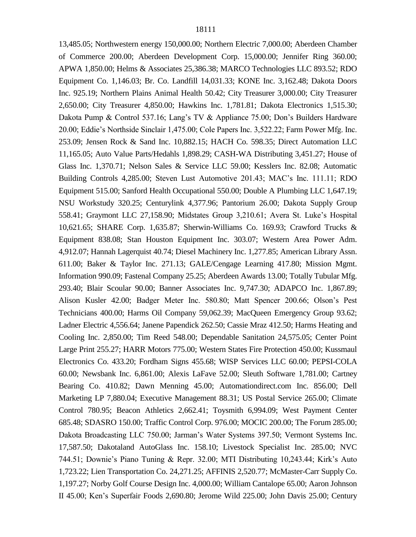13,485.05; Northwestern energy 150,000.00; Northern Electric 7,000.00; Aberdeen Chamber of Commerce 200.00; Aberdeen Development Corp. 15,000.00; Jennifer Ring 360.00; APWA 1,850.00; Helms & Associates 25,386.38; MARCO Technologies LLC 893.52; RDO Equipment Co. 1,146.03; Br. Co. Landfill 14,031.33; KONE Inc. 3,162.48; Dakota Doors Inc. 925.19; Northern Plains Animal Health 50.42; City Treasurer 3,000.00; City Treasurer 2,650.00; City Treasurer 4,850.00; Hawkins Inc. 1,781.81; Dakota Electronics 1,515.30; Dakota Pump & Control 537.16; Lang's TV & Appliance 75.00; Don's Builders Hardware 20.00; Eddie's Northside Sinclair 1,475.00; Cole Papers Inc. 3,522.22; Farm Power Mfg. Inc. 253.09; Jensen Rock & Sand Inc. 10,882.15; HACH Co. 598.35; Direct Automation LLC 11,165.05; Auto Value Parts/Hedahls 1,898.29; CASH-WA Distributing 3,451.27; House of Glass Inc. 1,370.71; Nelson Sales & Service LLC 59.00; Kesslers Inc. 82.08; Automatic Building Controls 4,285.00; Steven Lust Automotive 201.43; MAC's Inc. 111.11; RDO Equipment 515.00; Sanford Health Occupational 550.00; Double A Plumbing LLC 1,647.19; NSU Workstudy 320.25; Centurylink 4,377.96; Pantorium 26.00; Dakota Supply Group 558.41; Graymont LLC 27,158.90; Midstates Group 3,210.61; Avera St. Luke's Hospital 10,621.65; SHARE Corp. 1,635.87; Sherwin-Williams Co. 169.93; Crawford Trucks & Equipment 838.08; Stan Houston Equipment Inc. 303.07; Western Area Power Adm. 4,912.07; Hannah Lagerquist 40.74; Diesel Machinery Inc. 1,277.85; American Library Assn. 611.00; Baker & Taylor Inc. 271.13; GALE/Cengage Learning 417.80; Mission Mgmt. Information 990.09; Fastenal Company 25.25; Aberdeen Awards 13.00; Totally Tubular Mfg. 293.40; Blair Scoular 90.00; Banner Associates Inc. 9,747.30; ADAPCO Inc. 1,867.89; Alison Kusler 42.00; Badger Meter Inc. 580.80; Matt Spencer 200.66; Olson's Pest Technicians 400.00; Harms Oil Company 59,062.39; MacQueen Emergency Group 93.62; Ladner Electric 4,556.64; Janene Papendick 262.50; Cassie Mraz 412.50; Harms Heating and Cooling Inc. 2,850.00; Tim Reed 548.00; Dependable Sanitation 24,575.05; Center Point Large Print 255.27; HARR Motors 775.00; Western States Fire Protection 450.00; Kussmaul Electronics Co. 433.20; Fordham Signs 455.68; WISP Services LLC 60.00; PEPSI-COLA 60.00; Newsbank Inc. 6,861.00; Alexis LaFave 52.00; Sleuth Software 1,781.00; Cartney Bearing Co. 410.82; Dawn Menning 45.00; Automationdirect.com Inc. 856.00; Dell Marketing LP 7,880.04; Executive Management 88.31; US Postal Service 265.00; Climate Control 780.95; Beacon Athletics 2,662.41; Toysmith 6,994.09; West Payment Center 685.48; SDASRO 150.00; Traffic Control Corp. 976.00; MOCIC 200.00; The Forum 285.00; Dakota Broadcasting LLC 750.00; Jarman's Water Systems 397.50; Vermont Systems Inc. 17,587.50; Dakotaland AutoGlass Inc. 158.10; Livestock Specialist Inc. 285.00; NVC 744.51; Downie's Piano Tuning & Repr. 32.00; MTI Distributing 10,243.44; Kirk's Auto 1,723.22; Lien Transportation Co. 24,271.25; AFFINIS 2,520.77; McMaster-Carr Supply Co. 1,197.27; Norby Golf Course Design Inc. 4,000.00; William Cantalope 65.00; Aaron Johnson II 45.00; Ken's Superfair Foods 2,690.80; Jerome Wild 225.00; John Davis 25.00; Century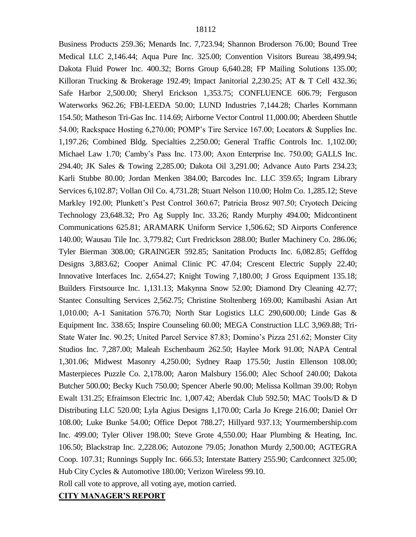Business Products 259.36; Menards Inc. 7,723.94; Shannon Broderson 76.00; Bound Tree Medical LLC 2,146.44; Aqua Pure Inc. 325.00; Convention Visitors Bureau 38,499.94; Dakota Fluid Power Inc. 400.32; Borns Group 6,640.28; FP Mailing Solutions 135.00; Killoran Trucking & Brokerage 192.49; Impact Janitorial 2,230.25; AT & T Cell 432.36; Safe Harbor 2,500.00; Sheryl Erickson 1,353.75; CONFLUENCE 606.79; Ferguson Waterworks 962.26; FBI-LEEDA 50.00; LUND Industries 7,144.28; Charles Kornmann 154.50; Matheson Tri-Gas Inc. 114.69; Airborne Vector Control 11,000.00; Aberdeen Shuttle 54.00; Rackspace Hosting 6,270.00; POMP's Tire Service 167.00; Locators & Supplies Inc. 1,197.26; Combined Bldg. Specialties 2,250.00; General Traffic Controls Inc. 1,102.00; Michael Law 1.70; Camby's Pass Inc. 173.00; Axon Enterprise Inc. 750.00; GALLS Inc. 294.40; JK Sales & Towing 2,285.00; Dakota Oil 3,291.00; Advance Auto Parts 234.23; Karli Stubbe 80.00; Jordan Menken 384.00; Barcodes Inc. LLC 359.65; Ingram Library Services 6,102.87; Vollan Oil Co. 4,731.28; Stuart Nelson 110.00; Holm Co. 1,285.12; Steve Markley 192.00; Plunkett's Pest Control 360.67; Patricia Brosz 907.50; Cryotech Deicing Technology 23,648.32; Pro Ag Supply Inc. 33.26; Randy Murphy 494.00; Midcontinent Communications 625.81; ARAMARK Uniform Service 1,506.62; SD Airports Conference 140.00; Wausau Tile Inc. 3,779.82; Curt Fredrickson 288.00; Butler Machinery Co. 286.06; Tyler Bierman 308.00; GRAINGER 592.85; Sanitation Products Inc. 6,082.85; Geffdog Designs 3,883.62; Cooper Animal Clinic PC 47.04; Crescent Electric Supply 22.40; Innovative Interfaces Inc. 2,654.27; Knight Towing 7,180.00; J Gross Equipment 135.18; Builders Firstsource Inc. 1,131.13; Makynna Snow 52.00; Diamond Dry Cleaning 42.77; Stantec Consulting Services 2,562.75; Christine Stoltenberg 169.00; Kamibashi Asian Art 1,010.00; A-1 Sanitation 576.70; North Star Logistics LLC 290,600.00; Linde Gas & Equipment Inc. 338.65; Inspire Counseling 60.00; MEGA Construction LLC 3,969.88; Tri-State Water Inc. 90.25; United Parcel Service 87.83; Domino's Pizza 251.62; Monster City Studios Inc. 7,287.00; Maleah Eschenbaum 262.50; Haylee Mork 91.00; NAPA Central 1,301.06; Midwest Masonry 4,250.00; Sydney Raap 175.50; Justin Ellenson 108.00; Masterpieces Puzzle Co. 2,178.00; Aaron Malsbury 156.00; Alec Schoof 240.00; Dakota Butcher 500.00; Becky Kuch 750.00; Spencer Aberle 90.00; Melissa Kollman 39.00; Robyn Ewalt 131.25; Efraimson Electric Inc. 1,007.42; Aberdak Club 592.50; MAC Tools/D & D Distributing LLC 520.00; Lyla Agius Designs 1,170.00; Carla Jo Krege 216.00; Daniel Orr 108.00; Luke Bunke 54.00; Office Depot 788.27; Hillyard 937.13; Yourmembership.com Inc. 499.00; Tyler Oliver 198.00; Steve Grote 4,550.00; Haar Plumbing & Heating, Inc. 106.50; Blackstrap Inc. 2,228.06; Autozone 79.05; Jonathon Murdy 2,500.00; AGTEGRA Coop. 107.31; Runnings Supply Inc. 666.53; Interstate Battery 255.90; Cardconnect 325.00; Hub City Cycles & Automotive 180.00; Verizon Wireless 99.10.

Roll call vote to approve, all voting aye, motion carried.

# **CITY MANAGER'S REPORT**